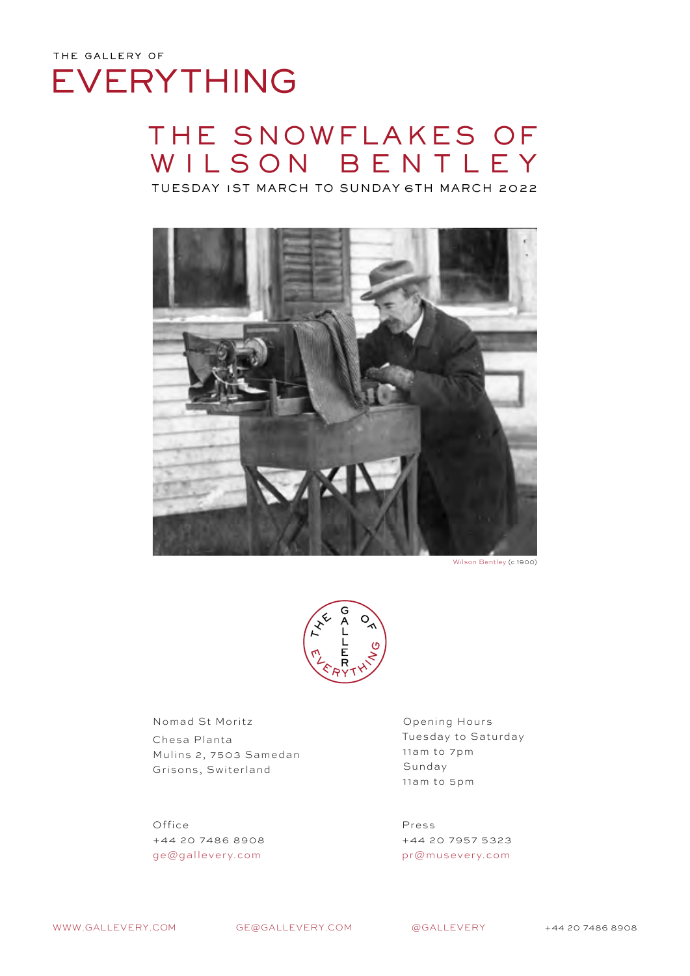# THE SNOWFLAKES OF WILSON BENTLEY

TUESDAY 1ST MARCH TO SUNDAY 6TH MARCH 2022



Wilson Bentley (c 1900)



Nomad St Moritz Chesa Planta Mulins 2, 7503 Samedan Grisons, Switerland

Office +44 20 7486 8908 ge@gallevery.com

Opening Hours Tuesday to Saturday 11am to 7pm Sunday 11am to 5pm

Press +44 20 7957 5323 pr@musevery.com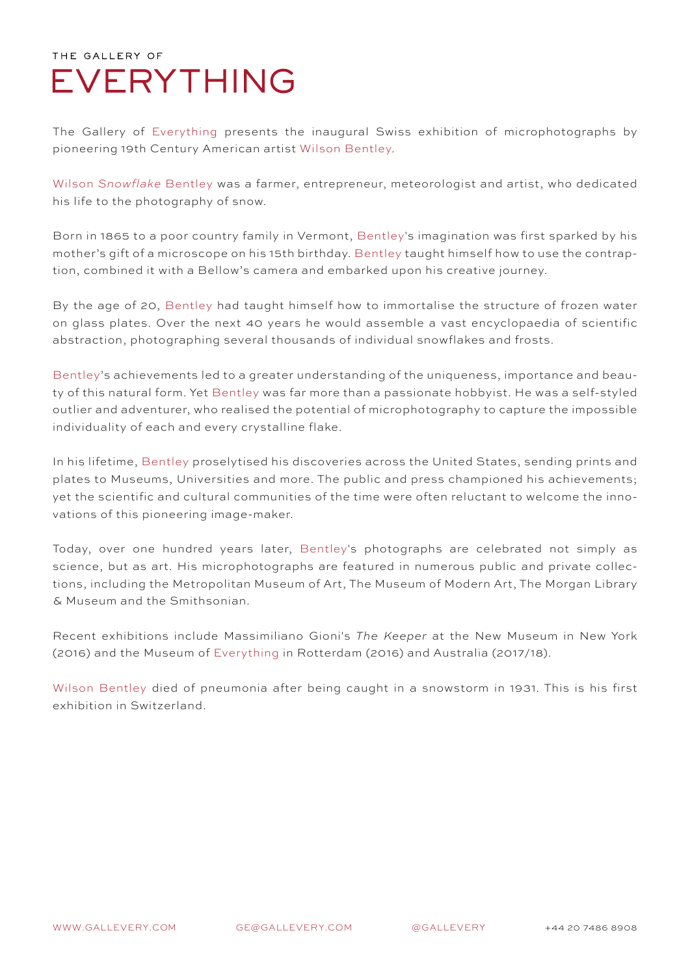The Gallery of Everything presents the inaugural Swiss exhibition of microphotographs by pioneering 19th Century American artist Wilson Bentley.

Wilson *Snowflake* Bentley was a farmer, entrepreneur, meteorologist and artist, who dedicated his life to the photography of snow.

Born in 1865 to a poor country family in Vermont, Bentley's imagination was first sparked by his mother's gift of a microscope on his 15th birthday. Bentley taught himself how to use the contraption, combined it with a Bellow's camera and embarked upon his creative journey.

By the age of 20, Bentley had taught himself how to immortalise the structure of frozen water on glass plates. Over the next 40 years he would assemble a vast encyclopaedia of scientific abstraction, photographing several thousands of individual snowflakes and frosts.

Bentley's achievements led to a greater understanding of the uniqueness, importance and beauty of this natural form. Yet Bentley was far more than a passionate hobbyist. He was a self-styled outlier and adventurer, who realised the potential of microphotography to capture the impossible individuality of each and every crystalline flake.

In his lifetime, Bentley proselytised his discoveries across the United States, sending prints and plates to Museums, Universities and more. The public and press championed his achievements; yet the scientific and cultural communities of the time were often reluctant to welcome the innovations of this pioneering image-maker.

Today, over one hundred years later, Bentley's photographs are celebrated not simply as science, but as art. His microphotographs are featured in numerous public and private collections, including the Metropolitan Museum of Art, The Museum of Modern Art, The Morgan Library & Museum and the Smithsonian.

Recent exhibitions include Massimiliano Gioni's *The Keeper* at the New Museum in New York (2016) and the Museum of Everything in Rotterdam (2016) and Australia (2017/18).

Wilson Bentley died of pneumonia after being caught in a snowstorm in 1931. This is his first exhibition in Switzerland.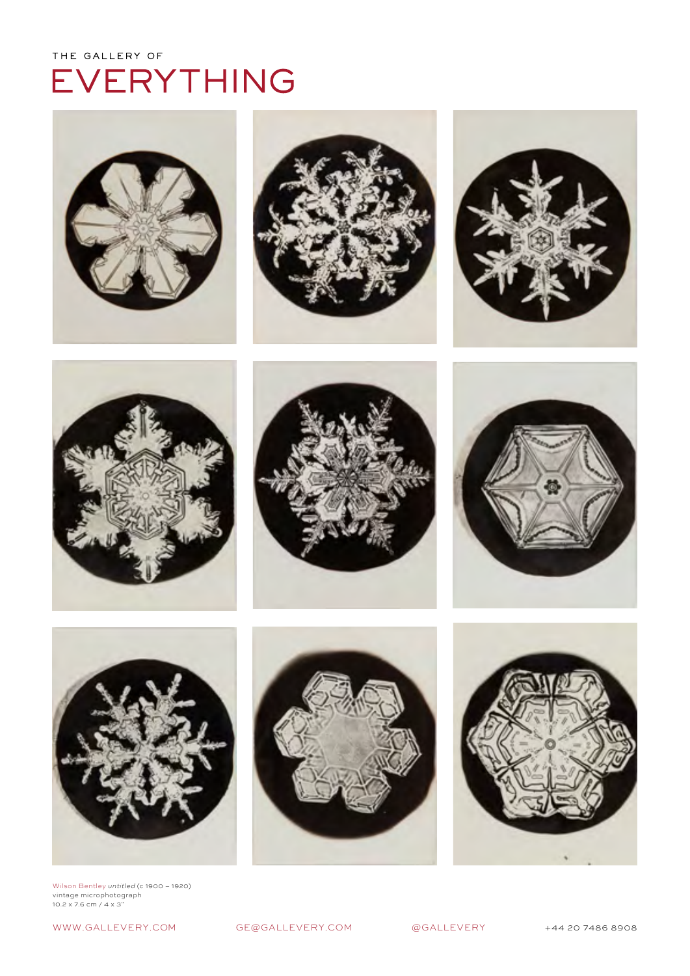









![](_page_2_Picture_6.jpeg)

![](_page_2_Picture_7.jpeg)

![](_page_2_Picture_8.jpeg)

![](_page_2_Picture_9.jpeg)

Wilson Bentley *untitled (*c 1900 – 1920)<br>vintage microphotograph<br>10.2 x 7.6 cm / 4 x 3"